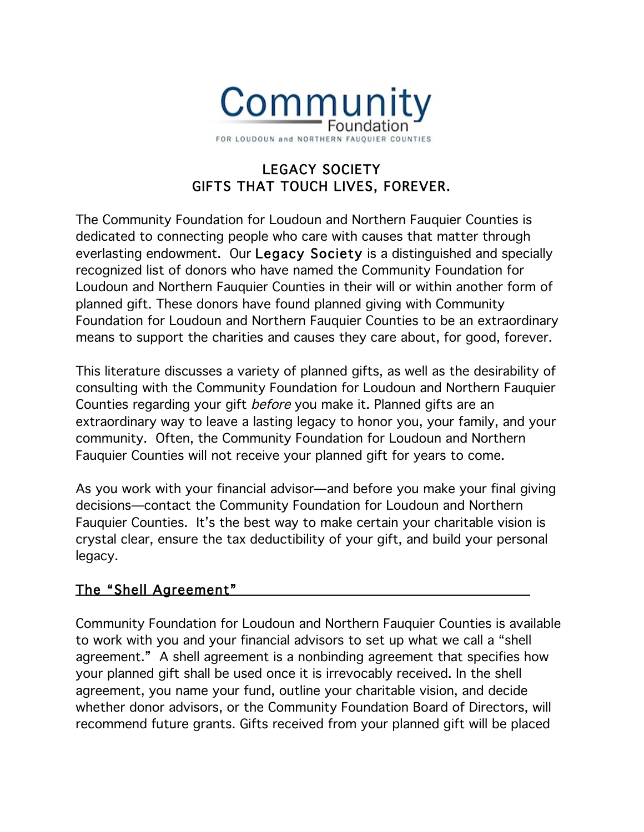

# LEGACY SOCIETY GIFTS THAT TOUCH LIVES, FOREVER.

The Community Foundation for Loudoun and Northern Fauquier Counties is dedicated to connecting people who care with causes that matter through everlasting endowment. Our Legacy Society is a distinguished and specially recognized list of donors who have named the Community Foundation for Loudoun and Northern Fauquier Counties in their will or within another form of planned gift. These donors have found planned giving with Community Foundation for Loudoun and Northern Fauquier Counties to be an extraordinary means to support the charities and causes they care about, for good, forever.

This literature discusses a variety of planned gifts, as well as the desirability of consulting with the Community Foundation for Loudoun and Northern Fauquier Counties regarding your gift before you make it. Planned gifts are an extraordinary way to leave a lasting legacy to honor you, your family, and your community. Often, the Community Foundation for Loudoun and Northern Fauquier Counties will not receive your planned gift for years to come.

As you work with your financial advisor—and before you make your final giving decisions—contact the Community Foundation for Loudoun and Northern Fauquier Counties. It's the best way to make certain your charitable vision is crystal clear, ensure the tax deductibility of your gift, and build your personal legacy.

### The "Shell Agreement"

Community Foundation for Loudoun and Northern Fauquier Counties is available to work with you and your financial advisors to set up what we call a "shell agreement." A shell agreement is a nonbinding agreement that specifies how your planned gift shall be used once it is irrevocably received. In the shell agreement, you name your fund, outline your charitable vision, and decide whether donor advisors, or the Community Foundation Board of Directors, will recommend future grants. Gifts received from your planned gift will be placed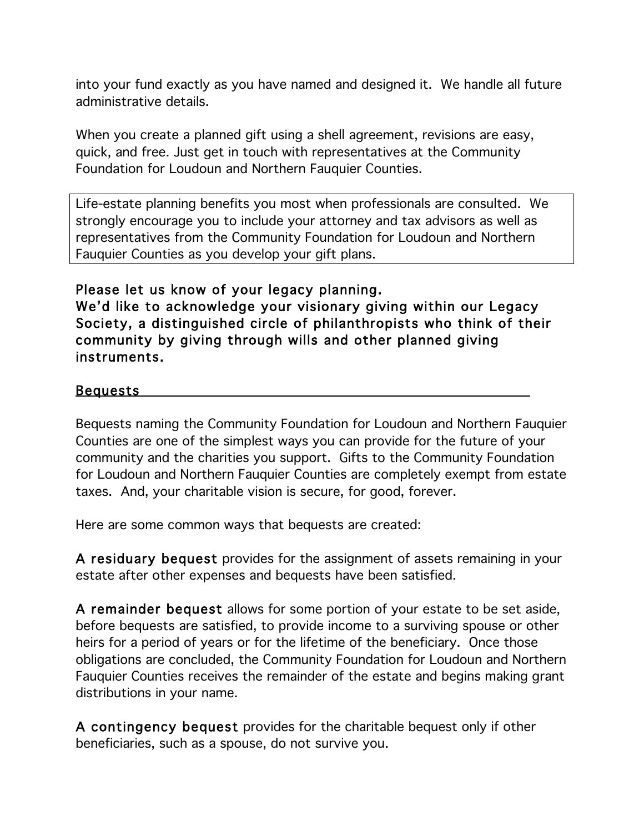into your fund exactly as you have named and designed it. We handle all future administrative details.

When you create a planned gift using a shell agreement, revisions are easy, quick, and free. Just get in touch with representatives at the Community Foundation for Loudoun and Northern Fauquier Counties.

Life-estate planning benefits you most when professionals are consulted. We strongly encourage you to include your attorney and tax advisors as well as representatives from the Community Foundation for Loudoun and Northern Fauquier Counties as you develop your gift plans.

#### Please let us know of your legacy planning. We'd like to acknowledge your visionary giving within our Legacy Society, a distinguished circle of philanthropists who think of their community by giving through wills and other planned giving instruments.

### Bequests

Bequests naming the Community Foundation for Loudoun and Northern Fauquier Counties are one of the simplest ways you can provide for the future of your community and the charities you support. Gifts to the Community Foundation for Loudoun and Northern Fauquier Counties are completely exempt from estate taxes. And, your charitable vision is secure, for good, forever.

Here are some common ways that bequests are created:

A residuary bequest provides for the assignment of assets remaining in your estate after other expenses and bequests have been satisfied.

A remainder bequest allows for some portion of your estate to be set aside, before bequests are satisfied, to provide income to a surviving spouse or other heirs for a period of years or for the lifetime of the beneficiary. Once those obligations are concluded, the Community Foundation for Loudoun and Northern Fauquier Counties receives the remainder of the estate and begins making grant distributions in your name.

A contingency bequest provides for the charitable bequest only if other beneficiaries, such as a spouse, do not survive you.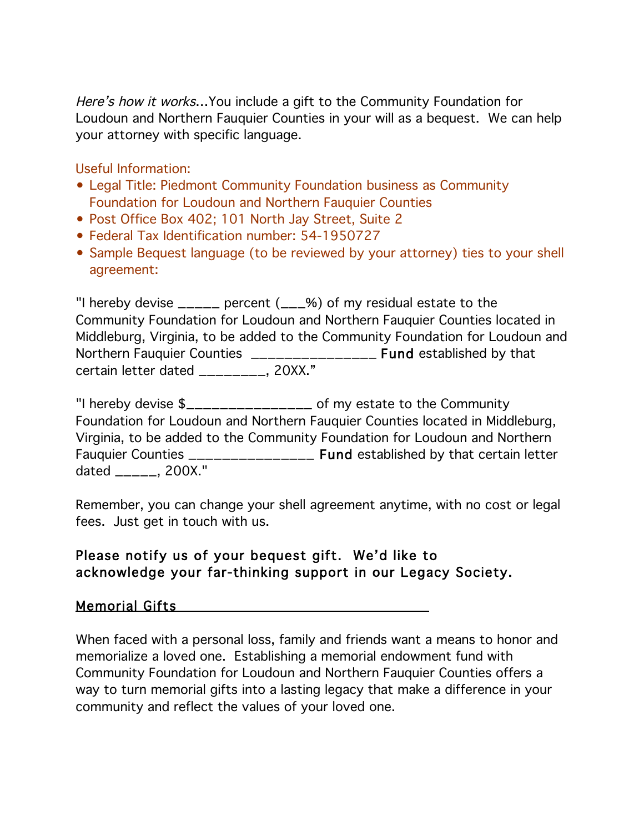Here's how it works... You include a gift to the Community Foundation for Loudoun and Northern Fauquier Counties in your will as a bequest. We can help your attorney with specific language.

Useful Information:

- Legal Title: Piedmont Community Foundation business as Community Foundation for Loudoun and Northern Fauquier Counties
- Post Office Box 402; 101 North Jay Street, Suite 2
- Federal Tax Identification number: 54-1950727
- Sample Bequest language (to be reviewed by your attorney) ties to your shell agreement:

"I hereby devise \_\_\_\_\_ percent (\_\_\_%) of my residual estate to the Community Foundation for Loudoun and Northern Fauquier Counties located in Middleburg, Virginia, to be added to the Community Foundation for Loudoun and Northern Fauquier Counties \_\_\_\_\_\_\_\_\_\_\_\_\_\_\_\_\_\_\_\_ Fund established by that certain letter dated \_\_\_\_\_\_\_\_, 20XX."

"I hereby devise \$\_\_\_\_\_\_\_\_\_\_\_\_\_\_\_ of my estate to the Community Foundation for Loudoun and Northern Fauquier Counties located in Middleburg, Virginia, to be added to the Community Foundation for Loudoun and Northern Fauquier Counties \_\_\_\_\_\_\_\_\_\_\_\_\_\_\_ Fund established by that certain letter dated \_\_\_\_\_, 200X."

Remember, you can change your shell agreement anytime, with no cost or legal fees. Just get in touch with us.

### Please notify us of your bequest gift. We'd like to acknowledge your far-thinking support in our Legacy Society.

### Memorial Gifts

When faced with a personal loss, family and friends want a means to honor and memorialize a loved one. Establishing a memorial endowment fund with Community Foundation for Loudoun and Northern Fauquier Counties offers a way to turn memorial gifts into a lasting legacy that make a difference in your community and reflect the values of your loved one.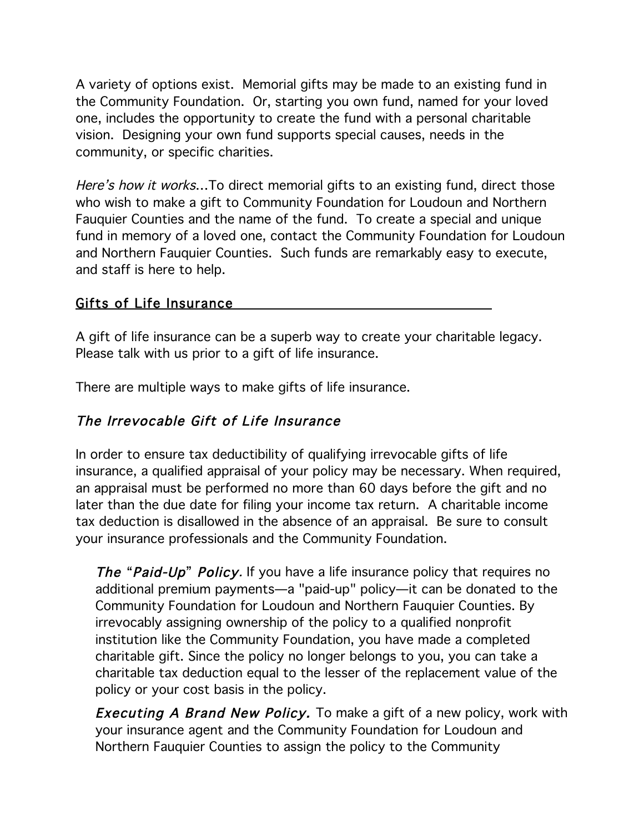A variety of options exist. Memorial gifts may be made to an existing fund in the Community Foundation. Or, starting you own fund, named for your loved one, includes the opportunity to create the fund with a personal charitable vision. Designing your own fund supports special causes, needs in the community, or specific charities.

Here's how it works...To direct memorial gifts to an existing fund, direct those who wish to make a gift to Community Foundation for Loudoun and Northern Fauquier Counties and the name of the fund. To create a special and unique fund in memory of a loved one, contact the Community Foundation for Loudoun and Northern Fauquier Counties. Such funds are remarkably easy to execute, and staff is here to help.

### Gifts of Life Insurance

A gift of life insurance can be a superb way to create your charitable legacy. Please talk with us prior to a gift of life insurance.

There are multiple ways to make gifts of life insurance.

## The Irrevocable Gift of Life Insurance

In order to ensure tax deductibility of qualifying irrevocable gifts of life insurance, a qualified appraisal of your policy may be necessary. When required, an appraisal must be performed no more than 60 days before the gift and no later than the due date for filing your income tax return. A charitable income tax deduction is disallowed in the absence of an appraisal. Be sure to consult your insurance professionals and the Community Foundation.

The "Paid-Up" Policy. If you have a life insurance policy that requires no additional premium payments—a "paid-up" policy—it can be donated to the Community Foundation for Loudoun and Northern Fauquier Counties. By irrevocably assigning ownership of the policy to a qualified nonprofit institution like the Community Foundation, you have made a completed charitable gift. Since the policy no longer belongs to you, you can take a charitable tax deduction equal to the lesser of the replacement value of the policy or your cost basis in the policy.

**Executing A Brand New Policy.** To make a gift of a new policy, work with your insurance agent and the Community Foundation for Loudoun and Northern Fauquier Counties to assign the policy to the Community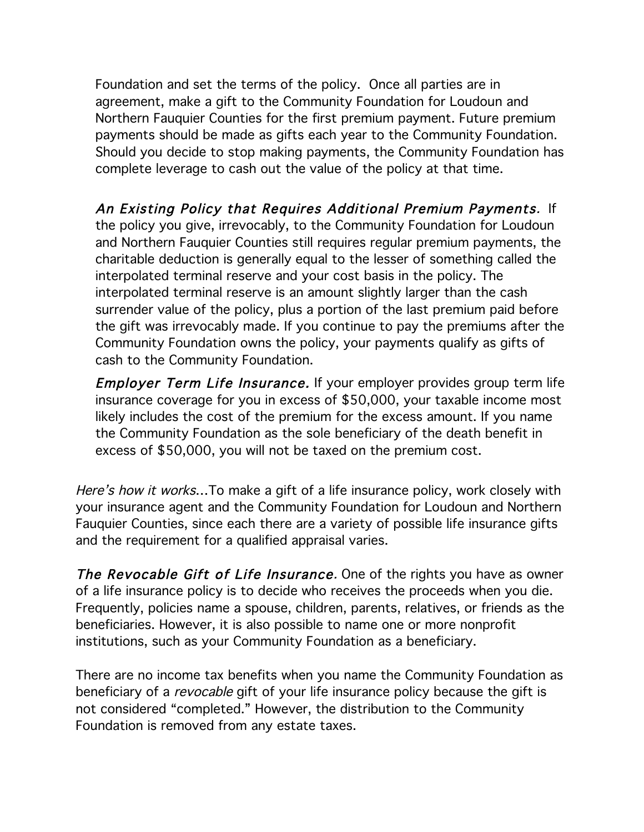Foundation and set the terms of the policy. Once all parties are in agreement, make a gift to the Community Foundation for Loudoun and Northern Fauquier Counties for the first premium payment. Future premium payments should be made as gifts each year to the Community Foundation. Should you decide to stop making payments, the Community Foundation has complete leverage to cash out the value of the policy at that time.

 An Existing Policy that Requires Additional Premium Payments. If the policy you give, irrevocably, to the Community Foundation for Loudoun and Northern Fauquier Counties still requires regular premium payments, the charitable deduction is generally equal to the lesser of something called the interpolated terminal reserve and your cost basis in the policy. The interpolated terminal reserve is an amount slightly larger than the cash surrender value of the policy, plus a portion of the last premium paid before the gift was irrevocably made. If you continue to pay the premiums after the Community Foundation owns the policy, your payments qualify as gifts of cash to the Community Foundation.

**Employer Term Life Insurance.** If your employer provides group term life insurance coverage for you in excess of \$50,000, your taxable income most likely includes the cost of the premium for the excess amount. If you name the Community Foundation as the sole beneficiary of the death benefit in excess of \$50,000, you will not be taxed on the premium cost.

Here's how it works...To make a gift of a life insurance policy, work closely with your insurance agent and the Community Foundation for Loudoun and Northern Fauquier Counties, since each there are a variety of possible life insurance gifts and the requirement for a qualified appraisal varies.

The Revocable Gift of Life Insurance. One of the rights you have as owner of a life insurance policy is to decide who receives the proceeds when you die. Frequently, policies name a spouse, children, parents, relatives, or friends as the beneficiaries. However, it is also possible to name one or more nonprofit institutions, such as your Community Foundation as a beneficiary.

There are no income tax benefits when you name the Community Foundation as beneficiary of a *revocable* gift of your life insurance policy because the gift is not considered "completed." However, the distribution to the Community Foundation is removed from any estate taxes.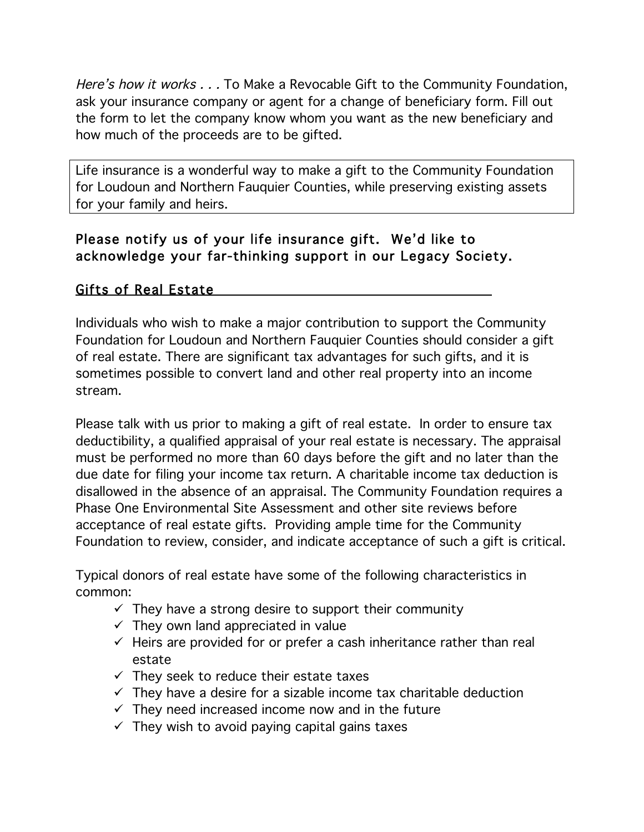Here's how it works . . . To Make a Revocable Gift to the Community Foundation, ask your insurance company or agent for a change of beneficiary form. Fill out the form to let the company know whom you want as the new beneficiary and how much of the proceeds are to be gifted.

Life insurance is a wonderful way to make a gift to the Community Foundation for Loudoun and Northern Fauquier Counties, while preserving existing assets for your family and heirs.

## Please notify us of your life insurance gift. We'd like to acknowledge your far-thinking support in our Legacy Society.

## Gifts of Real Estate

Individuals who wish to make a major contribution to support the Community Foundation for Loudoun and Northern Fauquier Counties should consider a gift of real estate. There are significant tax advantages for such gifts, and it is sometimes possible to convert land and other real property into an income stream.

Please talk with us prior to making a gift of real estate. In order to ensure tax deductibility, a qualified appraisal of your real estate is necessary. The appraisal must be performed no more than 60 days before the gift and no later than the due date for filing your income tax return. A charitable income tax deduction is disallowed in the absence of an appraisal. The Community Foundation requires a Phase One Environmental Site Assessment and other site reviews before acceptance of real estate gifts. Providing ample time for the Community Foundation to review, consider, and indicate acceptance of such a gift is critical.

Typical donors of real estate have some of the following characteristics in common:

- $\checkmark$  They have a strong desire to support their community
- $\checkmark$  They own land appreciated in value
- $\checkmark$  Heirs are provided for or prefer a cash inheritance rather than real estate
- $\checkmark$  They seek to reduce their estate taxes
- $\checkmark$  They have a desire for a sizable income tax charitable deduction
- $\checkmark$  They need increased income now and in the future
- $\checkmark$  They wish to avoid paying capital gains taxes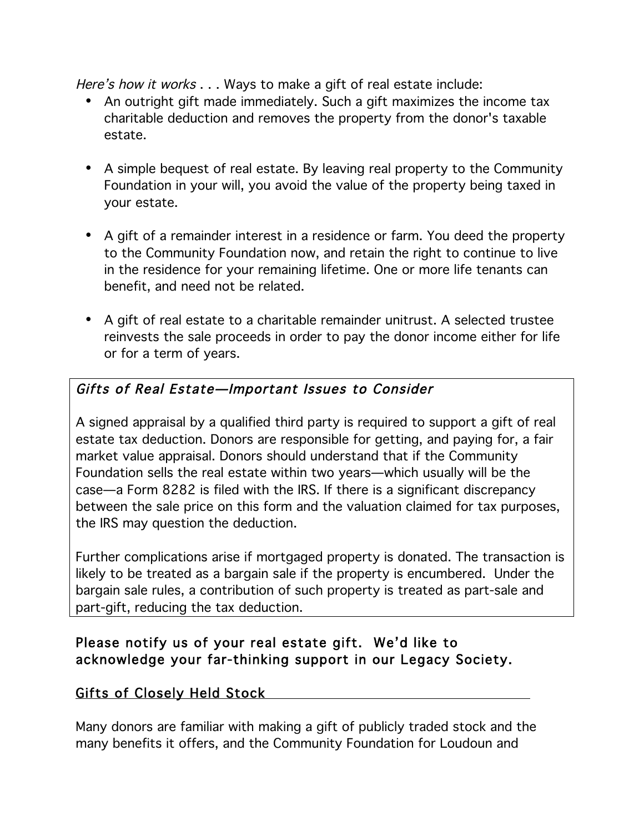Here's how it works . . . Ways to make a gift of real estate include:

- An outright gift made immediately. Such a gift maximizes the income tax charitable deduction and removes the property from the donor's taxable estate.
- A simple bequest of real estate. By leaving real property to the Community Foundation in your will, you avoid the value of the property being taxed in your estate.
- A gift of a remainder interest in a residence or farm. You deed the property to the Community Foundation now, and retain the right to continue to live in the residence for your remaining lifetime. One or more life tenants can benefit, and need not be related.
- A gift of real estate to a charitable remainder unitrust. A selected trustee reinvests the sale proceeds in order to pay the donor income either for life or for a term of years.

# Gifts of Real Estate—Important Issues to Consider

A signed appraisal by a qualified third party is required to support a gift of real estate tax deduction. Donors are responsible for getting, and paying for, a fair market value appraisal. Donors should understand that if the Community Foundation sells the real estate within two years—which usually will be the case—a Form 8282 is filed with the IRS. If there is a significant discrepancy between the sale price on this form and the valuation claimed for tax purposes, the IRS may question the deduction.

Further complications arise if mortgaged property is donated. The transaction is likely to be treated as a bargain sale if the property is encumbered. Under the bargain sale rules, a contribution of such property is treated as part-sale and part-gift, reducing the tax deduction.

### Please notify us of your real estate gift. We'd like to acknowledge your far-thinking support in our Legacy Society.

### Gifts of Closely Held Stock

Many donors are familiar with making a gift of publicly traded stock and the many benefits it offers, and the Community Foundation for Loudoun and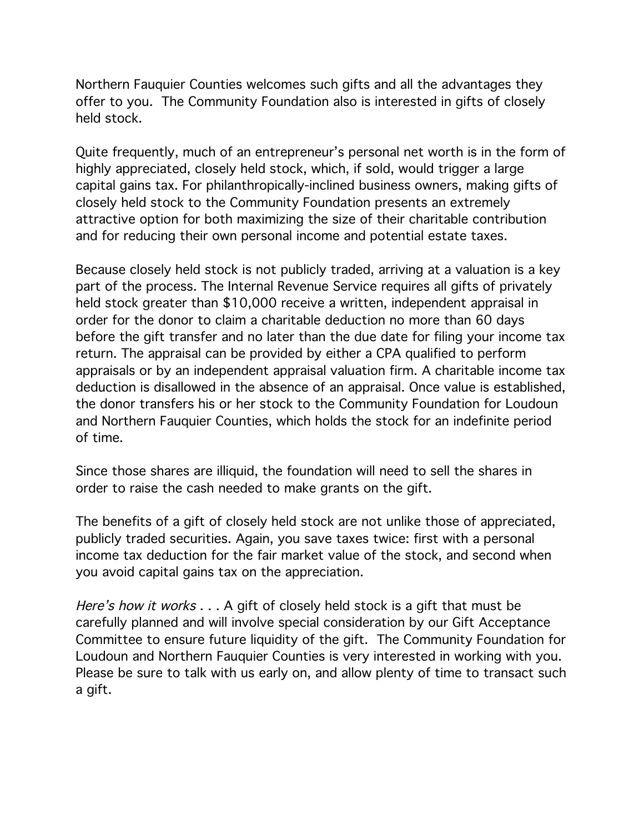Northern Fauquier Counties welcomes such gifts and all the advantages they offer to you. The Community Foundation also is interested in gifts of closely held stock.

Quite frequently, much of an entrepreneur's personal net worth is in the form of highly appreciated, closely held stock, which, if sold, would trigger a large capital gains tax. For philanthropically-inclined business owners, making gifts of closely held stock to the Community Foundation presents an extremely attractive option for both maximizing the size of their charitable contribution and for reducing their own personal income and potential estate taxes.

Because closely held stock is not publicly traded, arriving at a valuation is a key part of the process. The Internal Revenue Service requires all gifts of privately held stock greater than \$10,000 receive a written, independent appraisal in order for the donor to claim a charitable deduction no more than 60 days before the gift transfer and no later than the due date for filing your income tax return. The appraisal can be provided by either a CPA qualified to perform appraisals or by an independent appraisal valuation firm. A charitable income tax deduction is disallowed in the absence of an appraisal. Once value is established, the donor transfers his or her stock to the Community Foundation for Loudoun and Northern Fauquier Counties, which holds the stock for an indefinite period of time.

Since those shares are illiquid, the foundation will need to sell the shares in order to raise the cash needed to make grants on the gift.

The benefits of a gift of closely held stock are not unlike those of appreciated, publicly traded securities. Again, you save taxes twice: first with a personal income tax deduction for the fair market value of the stock, and second when you avoid capital gains tax on the appreciation.

Here's how it works . . . A gift of closely held stock is a gift that must be carefully planned and will involve special consideration by our Gift Acceptance Committee to ensure future liquidity of the gift. The Community Foundation for Loudoun and Northern Fauquier Counties is very interested in working with you. Please be sure to talk with us early on, and allow plenty of time to transact such a gift.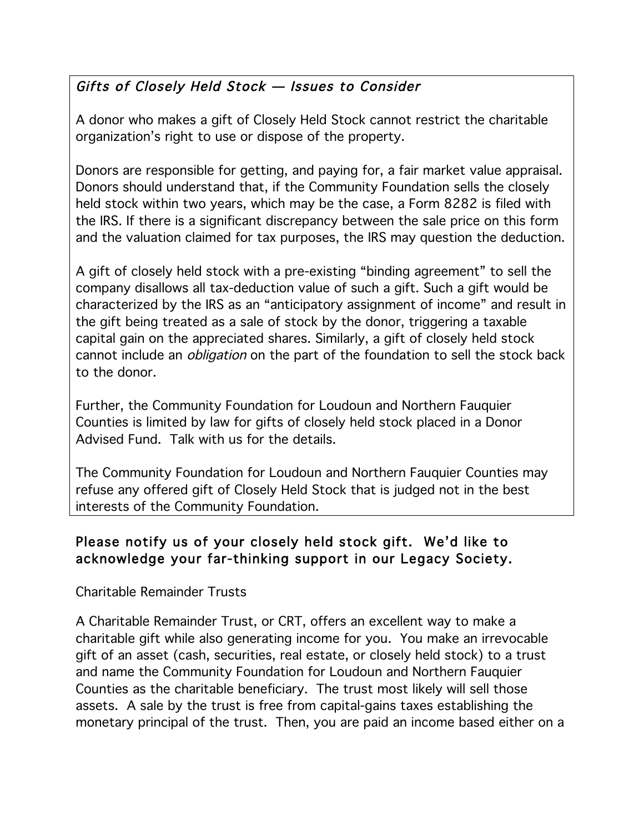# Gifts of Closely Held Stock — Issues to Consider

A donor who makes a gift of Closely Held Stock cannot restrict the charitable organization's right to use or dispose of the property.

Donors are responsible for getting, and paying for, a fair market value appraisal. Donors should understand that, if the Community Foundation sells the closely held stock within two years, which may be the case, a Form 8282 is filed with the IRS. If there is a significant discrepancy between the sale price on this form and the valuation claimed for tax purposes, the IRS may question the deduction.

A gift of closely held stock with a pre-existing "binding agreement" to sell the company disallows all tax-deduction value of such a gift. Such a gift would be characterized by the IRS as an "anticipatory assignment of income" and result in the gift being treated as a sale of stock by the donor, triggering a taxable capital gain on the appreciated shares. Similarly, a gift of closely held stock cannot include an obligation on the part of the foundation to sell the stock back to the donor.

Further, the Community Foundation for Loudoun and Northern Fauquier Counties is limited by law for gifts of closely held stock placed in a Donor Advised Fund. Talk with us for the details.

The Community Foundation for Loudoun and Northern Fauquier Counties may refuse any offered gift of Closely Held Stock that is judged not in the best interests of the Community Foundation.

## Please notify us of your closely held stock gift. We'd like to acknowledge your far-thinking support in our Legacy Society.

### Charitable Remainder Trusts

A Charitable Remainder Trust, or CRT, offers an excellent way to make a charitable gift while also generating income for you. You make an irrevocable gift of an asset (cash, securities, real estate, or closely held stock) to a trust and name the Community Foundation for Loudoun and Northern Fauquier Counties as the charitable beneficiary. The trust most likely will sell those assets. A sale by the trust is free from capital-gains taxes establishing the monetary principal of the trust. Then, you are paid an income based either on a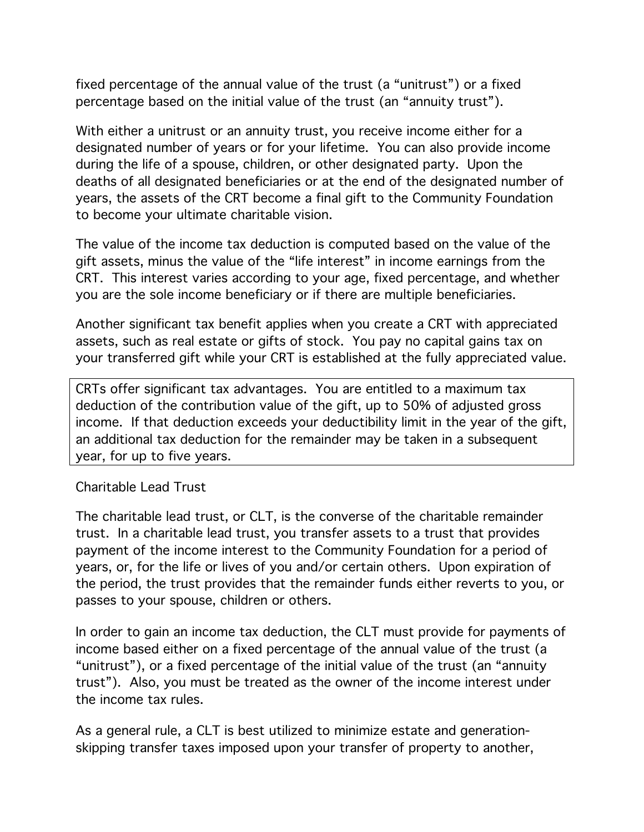fixed percentage of the annual value of the trust (a "unitrust") or a fixed percentage based on the initial value of the trust (an "annuity trust").

With either a unitrust or an annuity trust, you receive income either for a designated number of years or for your lifetime. You can also provide income during the life of a spouse, children, or other designated party. Upon the deaths of all designated beneficiaries or at the end of the designated number of years, the assets of the CRT become a final gift to the Community Foundation to become your ultimate charitable vision.

The value of the income tax deduction is computed based on the value of the gift assets, minus the value of the "life interest" in income earnings from the CRT. This interest varies according to your age, fixed percentage, and whether you are the sole income beneficiary or if there are multiple beneficiaries.

Another significant tax benefit applies when you create a CRT with appreciated assets, such as real estate or gifts of stock. You pay no capital gains tax on your transferred gift while your CRT is established at the fully appreciated value.

CRTs offer significant tax advantages. You are entitled to a maximum tax deduction of the contribution value of the gift, up to 50% of adjusted gross income. If that deduction exceeds your deductibility limit in the year of the gift, an additional tax deduction for the remainder may be taken in a subsequent year, for up to five years.

Charitable Lead Trust

The charitable lead trust, or CLT, is the converse of the charitable remainder trust. In a charitable lead trust, you transfer assets to a trust that provides payment of the income interest to the Community Foundation for a period of years, or, for the life or lives of you and/or certain others. Upon expiration of the period, the trust provides that the remainder funds either reverts to you, or passes to your spouse, children or others.

In order to gain an income tax deduction, the CLT must provide for payments of income based either on a fixed percentage of the annual value of the trust (a "unitrust"), or a fixed percentage of the initial value of the trust (an "annuity trust"). Also, you must be treated as the owner of the income interest under the income tax rules.

As a general rule, a CLT is best utilized to minimize estate and generationskipping transfer taxes imposed upon your transfer of property to another,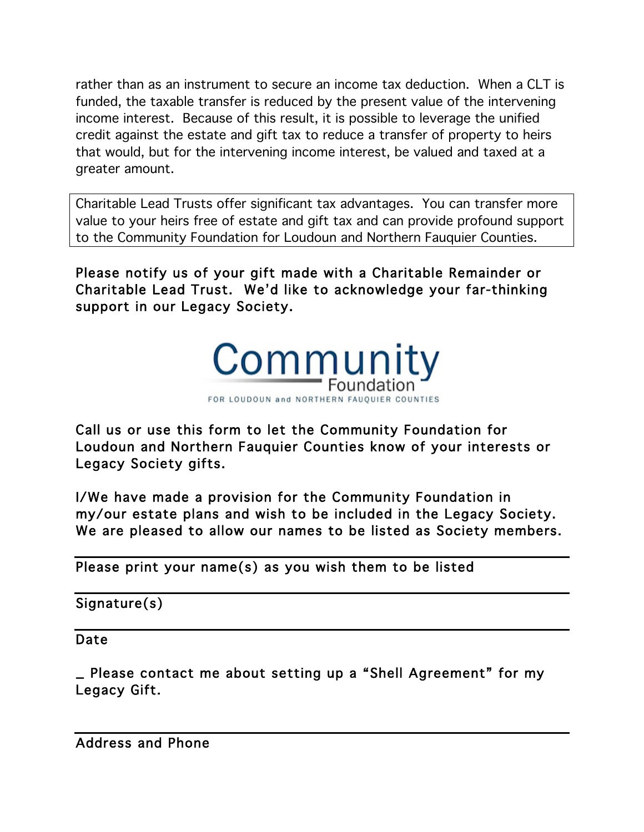rather than as an instrument to secure an income tax deduction. When a CLT is funded, the taxable transfer is reduced by the present value of the intervening income interest. Because of this result, it is possible to leverage the unified credit against the estate and gift tax to reduce a transfer of property to heirs that would, but for the intervening income interest, be valued and taxed at a greater amount.

Charitable Lead Trusts offer significant tax advantages. You can transfer more value to your heirs free of estate and gift tax and can provide profound support to the Community Foundation for Loudoun and Northern Fauquier Counties.

Please notify us of your gift made with a Charitable Remainder or Charitable Lead Trust. We'd like to acknowledge your far-thinking support in our Legacy Society.



Call us or use this form to let the Community Foundation for Loudoun and Northern Fauquier Counties know of your interests or Legacy Society gifts.

I/We have made a provision for the Community Foundation in my/our estate plans and wish to be included in the Legacy Society. We are pleased to allow our names to be listed as Society members.

Please print your name(s) as you wish them to be listed

Signature(s)

Date

\_ Please contact me about setting up a "Shell Agreement" for my Legacy Gift.

Address and Phone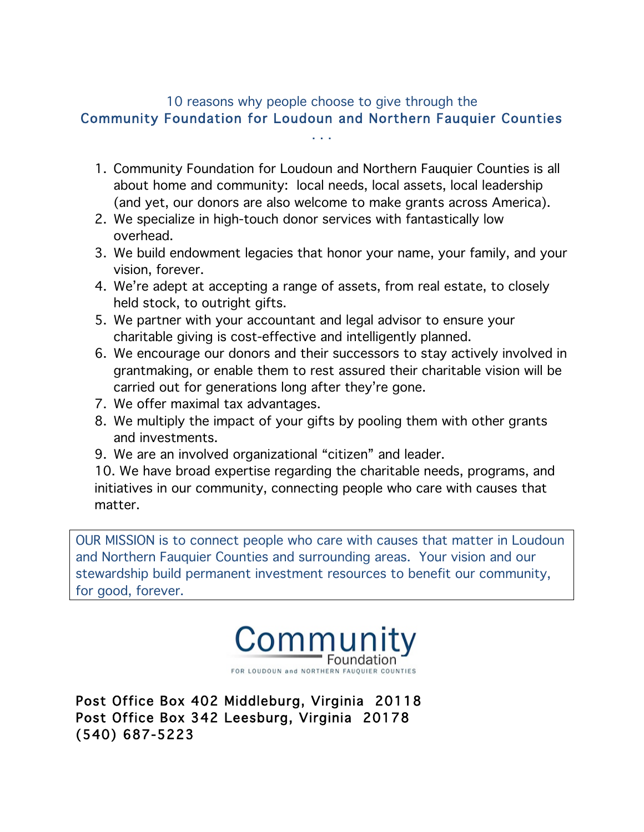# 10 reasons why people choose to give through the Community Foundation for Loudoun and Northern Fauquier Counties

. . .

- 1. Community Foundation for Loudoun and Northern Fauquier Counties is all about home and community: local needs, local assets, local leadership (and yet, our donors are also welcome to make grants across America).
- 2. We specialize in high-touch donor services with fantastically low overhead.
- 3. We build endowment legacies that honor your name, your family, and your vision, forever.
- 4. We're adept at accepting a range of assets, from real estate, to closely held stock, to outright gifts.
- 5. We partner with your accountant and legal advisor to ensure your charitable giving is cost-effective and intelligently planned.
- 6. We encourage our donors and their successors to stay actively involved in grantmaking, or enable them to rest assured their charitable vision will be carried out for generations long after they're gone.
- 7. We offer maximal tax advantages.
- 8. We multiply the impact of your gifts by pooling them with other grants and investments.
- 9. We are an involved organizational "citizen" and leader.

10. We have broad expertise regarding the charitable needs, programs, and initiatives in our community, connecting people who care with causes that matter.

OUR MISSION is to connect people who care with causes that matter in Loudoun and Northern Fauquier Counties and surrounding areas. Your vision and our stewardship build permanent investment resources to benefit our community, for good, forever.



Post Office Box 402 Middleburg, Virginia 20118 Post Office Box 342 Leesburg, Virginia 20178 (540) 687-5223